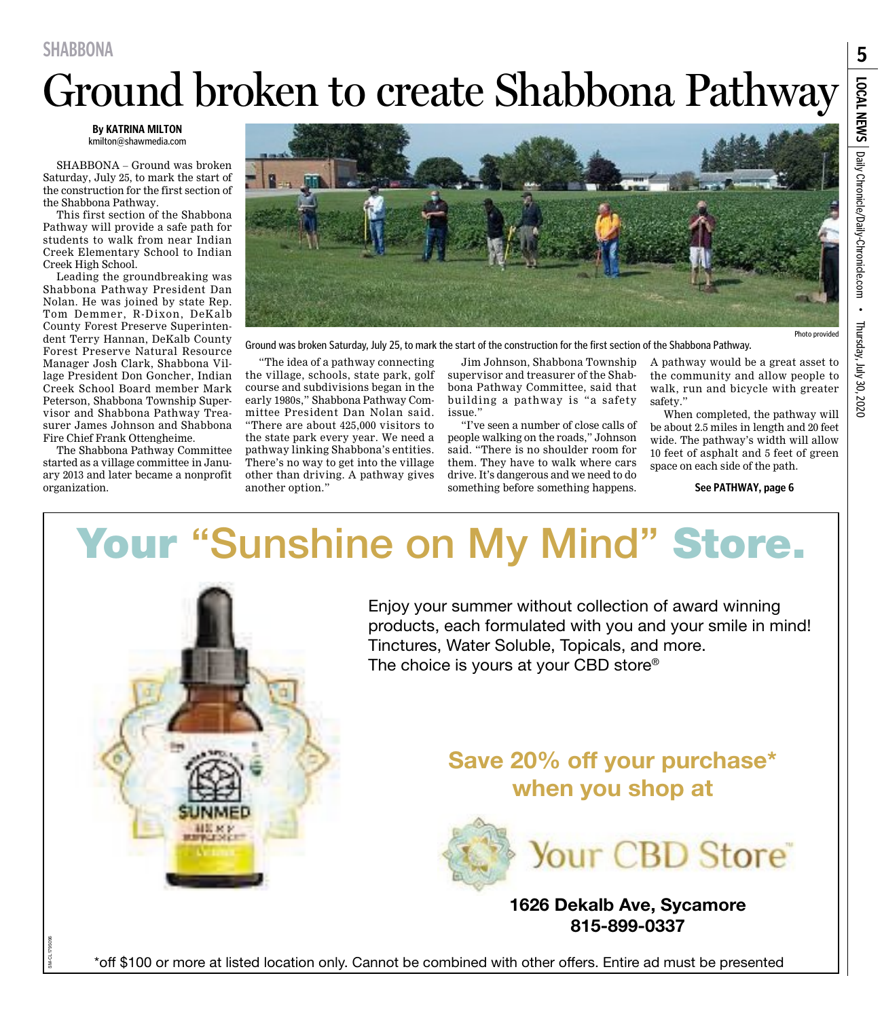**SHABBONA**

# Ground broken to create Shabbona Pathway

**By KATRINA MILTON** kmilton@shawmedia.com

SHABBONA – Ground was broken Saturday, July 25, to mark the start of the construction for the first section of the Shabbona Pathway.

This first section of the Shabbona Pathway will provide a safe path for students to walk from near Indian Creek Elementary School to Indian Creek High School.

Leading the groundbreaking was Shabbona Pathway President Dan Nolan. He was joined by state Rep. Tom Demmer, R-Dixon, DeKalb County Forest Preserve Superintendent Terry Hannan, DeKalb County Forest Preserve Natural Resource Manager Josh Clark, Shabbona Village President Don Goncher, Indian Creek School Board member Mark Peterson, Shabbona Township Supervisor and Shabbona Pathway Treasurer James Johnson and Shabbona Fire Chief Frank Ottengheime.

The Shabbona Pathway Committee started as a village committee in January 2013 and later became a nonprofit organization.



Ground was broken Saturday, July 25, to mark the start of the construction for the first section of the Shabbona Pathway.

"The idea of a pathway connecting the village, schools, state park, golf course and subdivisions began in the early 1980s," Shabbona Pathway Committee President Dan Nolan said. "There are about 425,000 visitors to the state park every year. We need a pathway linking Shabbona's entities. There's no way to get into the village other than driving. A pathway gives another option."

Jim Johnson, Shabbona Township supervisor and treasurer of the Shabbona Pathway Committee, said that building a pathway is "a safety issue."

"I've seen a number of close calls of people walking on the roads," Johnson said. "There is no shoulder room for them. They have to walk where cars drive. It's dangerous and we need to do something before something happens.

A pathway would be a great asset to the community and allow people to walk, run and bicycle with greater safety."

When completed, the pathway will be about 2.5 miles in length and 20 feet wide. The pathway's width will allow 10 feet of asphalt and 5 feet of green space on each side of the path.

#### **See PATHWAY, page 6**

### Your "Sunshine on My Mind" Store.



Enjoy your summer without collection of award winning products, each formulated with you and your smile in mind! Tinctures, Water Soluble, Topicals, and more. The choice is yours at your CBD store®

### Save 20% off your purchase\* when you shop at



#### 1626 Dekalb Ave, Sycamore 815-899-0337